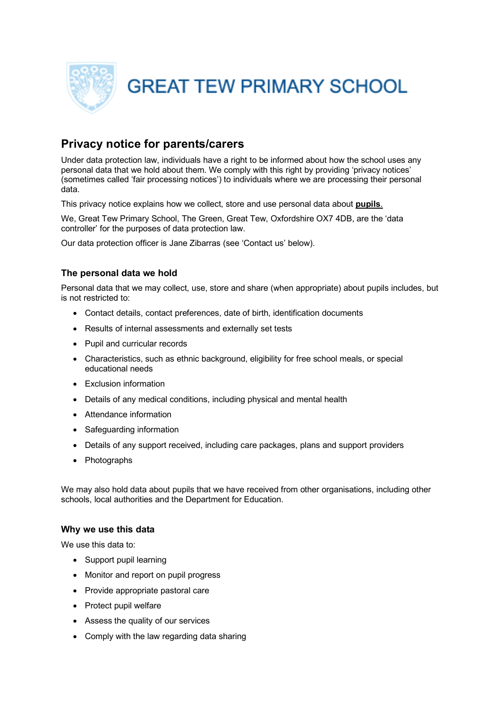

# **Privacy notice for parents/carers**

Under data protection law, individuals have a right to be informed about how the school uses any personal data that we hold about them. We comply with this right by providing 'privacy notices' (sometimes called 'fair processing notices') to individuals where we are processing their personal data.

This privacy notice explains how we collect, store and use personal data about **pupils**.

We, Great Tew Primary School, The Green, Great Tew, Oxfordshire OX7 4DB, are the 'data controller' for the purposes of data protection law.

Our data protection officer is Jane Zibarras (see 'Contact us' below).

# **The personal data we hold**

Personal data that we may collect, use, store and share (when appropriate) about pupils includes, but is not restricted to:

- Contact details, contact preferences, date of birth, identification documents
- Results of internal assessments and externally set tests
- Pupil and curricular records
- Characteristics, such as ethnic background, eligibility for free school meals, or special educational needs
- Exclusion information
- Details of any medical conditions, including physical and mental health
- Attendance information
- Safeguarding information
- Details of any support received, including care packages, plans and support providers
- Photographs

We may also hold data about pupils that we have received from other organisations, including other schools, local authorities and the Department for Education.

### **Why we use this data**

We use this data to:

- Support pupil learning
- Monitor and report on pupil progress
- Provide appropriate pastoral care
- Protect pupil welfare
- Assess the quality of our services
- Comply with the law regarding data sharing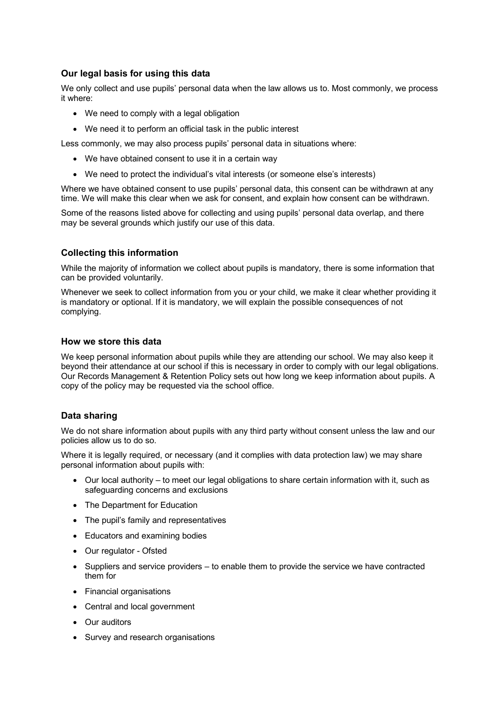# **Our legal basis for using this data**

We only collect and use pupils' personal data when the law allows us to. Most commonly, we process it where:

- We need to comply with a legal obligation
- We need it to perform an official task in the public interest

Less commonly, we may also process pupils' personal data in situations where:

- We have obtained consent to use it in a certain way
- We need to protect the individual's vital interests (or someone else's interests)

Where we have obtained consent to use pupils' personal data, this consent can be withdrawn at any time. We will make this clear when we ask for consent, and explain how consent can be withdrawn.

Some of the reasons listed above for collecting and using pupils' personal data overlap, and there may be several grounds which justify our use of this data.

## **Collecting this information**

While the majority of information we collect about pupils is mandatory, there is some information that can be provided voluntarily.

Whenever we seek to collect information from you or your child, we make it clear whether providing it is mandatory or optional. If it is mandatory, we will explain the possible consequences of not complying.

### **How we store this data**

We keep personal information about pupils while they are attending our school. We may also keep it beyond their attendance at our school if this is necessary in order to comply with our legal obligations. Our Records Management & Retention Policy sets out how long we keep information about pupils. A copy of the policy may be requested via the school office.

# **Data sharing**

We do not share information about pupils with any third party without consent unless the law and our policies allow us to do so.

Where it is legally required, or necessary (and it complies with data protection law) we may share personal information about pupils with:

- Our local authority to meet our legal obligations to share certain information with it, such as safeguarding concerns and exclusions
- The Department for Education
- The pupil's family and representatives
- Educators and examining bodies
- Our regulator Ofsted
- Suppliers and service providers to enable them to provide the service we have contracted them for
- Financial organisations
- Central and local government
- Our auditors
- Survey and research organisations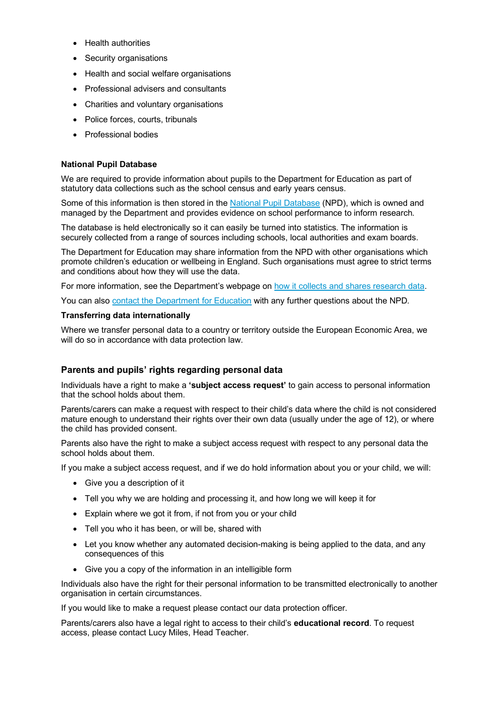- Health authorities
- Security organisations
- Health and social welfare organisations
- Professional advisers and consultants
- Charities and voluntary organisations
- Police forces, courts, tribunals
- Professional bodies

#### **National Pupil Database**

We are required to provide information about pupils to the Department for Education as part of statutory data collections such as the school census and early years census.

Some of this information is then stored in the National Pupil Database (NPD), which is owned and managed by the Department and provides evidence on school performance to inform research.

The database is held electronically so it can easily be turned into statistics. The information is securely collected from a range of sources including schools, local authorities and exam boards.

The Department for Education may share information from the NPD with other organisations which promote children's education or wellbeing in England. Such organisations must agree to strict terms and conditions about how they will use the data.

For more information, see the Department's webpage on how it collects and shares research data.

You can also contact the Department for Education with any further questions about the NPD.

#### **Transferring data internationally**

Where we transfer personal data to a country or territory outside the European Economic Area, we will do so in accordance with data protection law.

### **Parents and pupils' rights regarding personal data**

Individuals have a right to make a **'subject access request'** to gain access to personal information that the school holds about them.

Parents/carers can make a request with respect to their child's data where the child is not considered mature enough to understand their rights over their own data (usually under the age of 12), or where the child has provided consent.

Parents also have the right to make a subject access request with respect to any personal data the school holds about them.

If you make a subject access request, and if we do hold information about you or your child, we will:

- Give you a description of it
- Tell you why we are holding and processing it, and how long we will keep it for
- Explain where we got it from, if not from you or your child
- Tell you who it has been, or will be, shared with
- Let you know whether any automated decision-making is being applied to the data, and any consequences of this
- Give you a copy of the information in an intelligible form

Individuals also have the right for their personal information to be transmitted electronically to another organisation in certain circumstances.

If you would like to make a request please contact our data protection officer.

Parents/carers also have a legal right to access to their child's **educational record**. To request access, please contact Lucy Miles, Head Teacher.